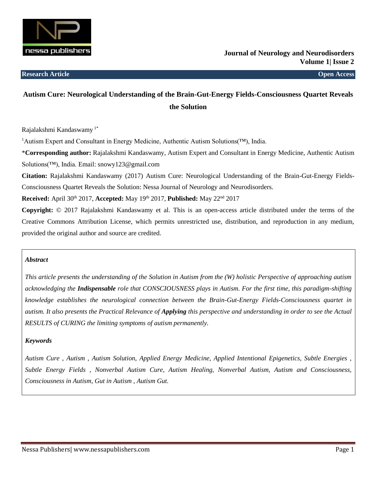

# **Autism Cure: Neurological Understanding of the Brain-Gut-Energy Fields-Consciousness Quartet Reveals the Solution**

Rajalakshmi Kandaswamy 1\*

<sup>1</sup>Autism Expert and Consultant in Energy Medicine, Authentic Autism Solutions(™), India.

\***Corresponding author:** Rajalakshmi Kandaswamy, Autism Expert and Consultant in Energy Medicine, Authentic Autism Solutions(™), India. Email: snowy123@gmail.com

**Citation:** Rajalakshmi Kandaswamy (2017) Autism Cure: Neurological Understanding of the Brain-Gut-Energy Fields-Consciousness Quartet Reveals the Solution: Nessa Journal of Neurology and Neurodisorders.

**Received:** April 30th 2017, **Accepted:** May 19th 2017, **Published:** May 22nd 2017

**Copyright:** © 2017 Rajalakshmi Kandaswamy et al. This is an open-access article distributed under the terms of the Creative Commons Attribution License, which permits unrestricted use, distribution, and reproduction in any medium, provided the original author and source are credited.

#### *Abstract*

*This article presents the understanding of the Solution in Autism from the (W) holistic Perspective of approaching autism acknowledging the Indispensable role that CONSCIOUSNESS plays in Autism. For the first time, this paradigm-shifting knowledge establishes the neurological connection between the Brain-Gut-Energy Fields-Consciousness quartet in autism. It also presents the Practical Relevance of Applying this perspective and understanding in order to see the Actual RESULTS of CURING the limiting symptoms of autism permanently.*

# *Keywords*

*Autism Cure , Autism , Autism Solution, Applied Energy Medicine, Applied Intentional Epigenetics, Subtle Energies , Subtle Energy Fields , Nonverbal Autism Cure, Autism Healing, Nonverbal Autism, Autism and Consciousness, Consciousness in Autism, Gut in Autism , Autism Gut.*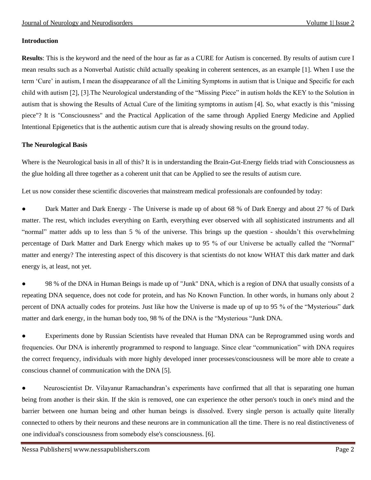#### **Introduction**

**Results**: This is the keyword and the need of the hour as far as a CURE for Autism is concerned. By results of autism cure I mean results such as a Nonverbal Autistic child actually speaking in coherent sentences, as an example [1]. When I use the term 'Cure' in autism, I mean the disappearance of all the Limiting Symptoms in autism that is Unique and Specific for each child with autism [2], [3].The Neurological understanding of the "Missing Piece" in autism holds the KEY to the Solution in autism that is showing the Results of Actual Cure of the limiting symptoms in autism [4]. So, what exactly is this "missing piece"? It is "Consciousness" and the Practical Application of the same through Applied Energy Medicine and Applied Intentional Epigenetics that is the authentic autism cure that is already showing results on the ground today.

### **The Neurological Basis**

Where is the Neurological basis in all of this? It is in understanding the Brain-Gut-Energy fields triad with Consciousness as the glue holding all three together as a coherent unit that can be Applied to see the results of autism cure.

Let us now consider these scientific discoveries that mainstream medical professionals are confounded by today:

• Dark Matter and Dark Energy - The Universe is made up of about 68 % of Dark Energy and about 27 % of Dark matter. The rest, which includes everything on Earth, everything ever observed with all sophisticated instruments and all "normal" matter adds up to less than 5 % of the universe. This brings up the question - shouldn't this overwhelming percentage of Dark Matter and Dark Energy which makes up to 95 % of our Universe be actually called the "Normal" matter and energy? The interesting aspect of this discovery is that scientists do not know WHAT this dark matter and dark energy is, at least, not yet.

98 % of the DNA in Human Beings is made up of "Junk" DNA, which is a region of DNA that usually consists of a repeating DNA sequence, does not code for protein, and has No Known Function. In other words, in humans only about 2 percent of DNA actually codes for proteins. Just like how the Universe is made up of up to 95 % of the "Mysterious" dark matter and dark energy, in the human body too, 98 % of the DNA is the "Mysterious "Junk DNA.

Experiments done by Russian Scientists have revealed that Human DNA can be Reprogrammed using words and frequencies. Our DNA is inherently programmed to respond to language. Since clear "communication" with DNA requires the correct frequency, individuals with more highly developed inner processes/consciousness will be more able to create a conscious channel of communication with the DNA [5].

● Neuroscientist Dr. Vilayanur Ramachandran's experiments have confirmed that all that is separating one human being from another is their skin. If the skin is removed, one can experience the other person's touch in one's mind and the barrier between one human being and other human beings is dissolved. Every single person is actually quite literally connected to others by their neurons and these neurons are in communication all the time. There is no real distinctiveness of one individual's consciousness from somebody else's consciousness. [6].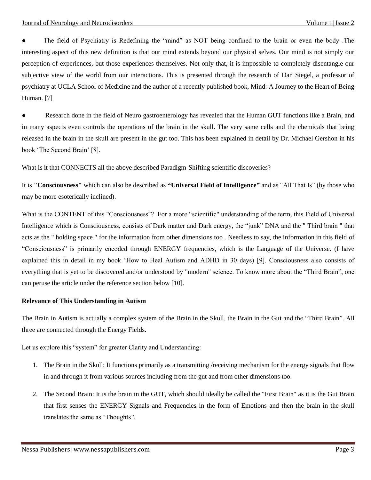The field of Psychiatry is Redefining the "mind" as NOT being confined to the brain or even the body. The interesting aspect of this new definition is that our mind extends beyond our physical selves. Our mind is not simply our perception of experiences, but those experiences themselves. Not only that, it is impossible to completely disentangle our subjective view of the world from our interactions. This is presented through the research of Dan Siegel, a professor of psychiatry at UCLA School of Medicine and the author of a recently published book, Mind: A Journey to the Heart of Being Human. [7]

Research done in the field of Neuro gastroenterology has revealed that the Human GUT functions like a Brain, and in many aspects even controls the operations of the brain in the skull. The very same cells and the chemicals that being released in the brain in the skull are present in the gut too. This has been explained in detail by Dr. Michael Gershon in his book 'The Second Brain' [8].

What is it that CONNECTS all the above described Paradigm-Shifting scientific discoveries?

It is **"Consciousness"** which can also be described as **"Universal Field of Intelligence"** and as "All That Is" (by those who may be more esoterically inclined).

What is the CONTENT of this "Consciousness"? For a more "scientific" understanding of the term, this Field of Universal Intelligence which is Consciousness, consists of Dark matter and Dark energy, the "junk" DNA and the " Third brain " that acts as the " holding space " for the information from other dimensions too . Needless to say, the information in this field of "Consciousness" is primarily encoded through ENERGY frequencies, which is the Language of the Universe. (I have explained this in detail in my book 'How to Heal Autism and ADHD in 30 days) [9]. Consciousness also consists of everything that is yet to be discovered and/or understood by "modern" science. To know more about the "Third Brain", one can peruse the article under the reference section below [10].

#### **Relevance of This Understanding in Autism**

The Brain in Autism is actually a complex system of the Brain in the Skull, the Brain in the Gut and the "Third Brain". All three are connected through the Energy Fields.

Let us explore this "system" for greater Clarity and Understanding:

- 1. The Brain in the Skull: It functions primarily as a transmitting /receiving mechanism for the energy signals that flow in and through it from various sources including from the gut and from other dimensions too.
- 2. The Second Brain: It is the brain in the GUT, which should ideally be called the "First Brain" as it is the Gut Brain that first senses the ENERGY Signals and Frequencies in the form of Emotions and then the brain in the skull translates the same as "Thoughts".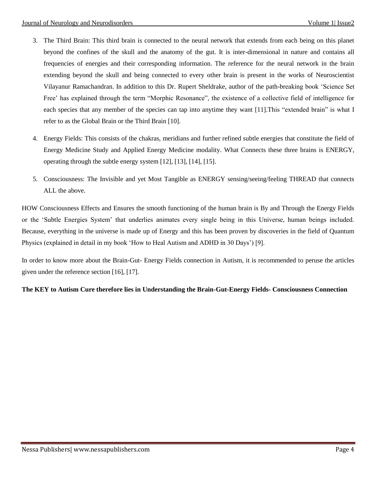- 3. The Third Brain: This third brain is connected to the neural network that extends from each being on this planet beyond the confines of the skull and the anatomy of the gut. It is inter-dimensional in nature and contains all frequencies of energies and their corresponding information. The reference for the neural network in the brain extending beyond the skull and being connected to every other brain is present in the works of Neuroscientist Vilayanur Ramachandran. In addition to this Dr. Rupert Sheldrake, author of the path-breaking book 'Science Set Free' has explained through the term "Morphic Resonance", the existence of a collective field of intelligence for each species that any member of the species can tap into anytime they want [11].This "extended brain" is what I refer to as the Global Brain or the Third Brain [10].
- 4. Energy Fields: This consists of the chakras, meridians and further refined subtle energies that constitute the field of Energy Medicine Study and Applied Energy Medicine modality. What Connects these three brains is ENERGY, operating through the subtle energy system [12], [13], [14], [15].
- 5. Consciousness: The Invisible and yet Most Tangible as ENERGY sensing/seeing/feeling THREAD that connects ALL the above.

HOW Consciousness Effects and Ensures the smooth functioning of the human brain is By and Through the Energy Fields or the 'Subtle Energies System' that underlies animates every single being in this Universe, human beings included. Because, everything in the universe is made up of Energy and this has been proven by discoveries in the field of Quantum Physics (explained in detail in my book 'How to Heal Autism and ADHD in 30 Days') [9].

In order to know more about the Brain-Gut- Energy Fields connection in Autism, it is recommended to peruse the articles given under the reference section [16], [17].

# **The KEY to Autism Cure therefore lies in Understanding the Brain-Gut-Energy Fields- Consciousness Connection**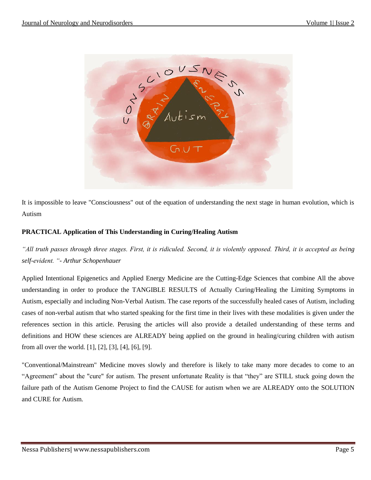

It is impossible to leave "Consciousness" out of the equation of understanding the next stage in human evolution, which is Autism

# **PRACTICAL Application of This Understanding in Curing/Healing Autism**

*"All truth passes through three stages. First, it is ridiculed. Second, it is violently opposed. Third, it is accepted as being self-evident. "- Arthur Schopenhauer*

Applied Intentional Epigenetics and Applied Energy Medicine are the Cutting-Edge Sciences that combine All the above understanding in order to produce the TANGIBLE RESULTS of Actually Curing/Healing the Limiting Symptoms in Autism, especially and including Non-Verbal Autism. The case reports of the successfully healed cases of Autism, including cases of non-verbal autism that who started speaking for the first time in their lives with these modalities is given under the references section in this article. Perusing the articles will also provide a detailed understanding of these terms and definitions and HOW these sciences are ALREADY being applied on the ground in healing/curing children with autism from all over the world. [1], [2], [3], [4], [6], [9].

"Conventional/Mainstream" Medicine moves slowly and therefore is likely to take many more decades to come to an "Agreement" about the "cure" for autism. The present unfortunate Reality is that "they" are STILL stuck going down the failure path of the Autism Genome Project to find the CAUSE for autism when we are ALREADY onto the SOLUTION and CURE for Autism.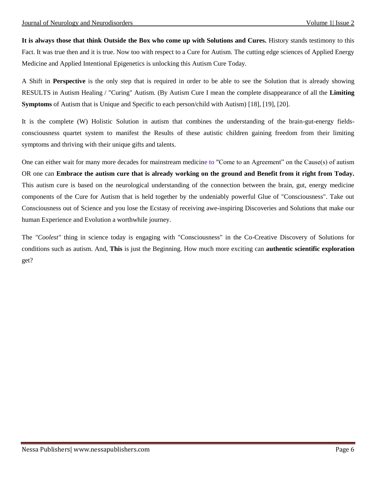**It is always those that think Outside the Box who come up with Solutions and Cures.** History stands testimony to this Fact. It was true then and it is true. Now too with respect to a Cure for Autism. The cutting edge sciences of Applied Energy Medicine and Applied Intentional Epigenetics is unlocking this Autism Cure Today.

A Shift in **Perspective** is the only step that is required in order to be able to see the Solution that is already showing RESULTS in Autism Healing / "Curing" Autism. (By Autism Cure I mean the complete disappearance of all the **Limiting Symptoms** of Autism that is Unique and Specific to each person/child with Autism) [18], [19], [20].

It is the complete (W) Holistic Solution in autism that combines the understanding of the brain-gut-energy fieldsconsciousness quartet system to manifest the Results of these autistic children gaining freedom from their limiting symptoms and thriving with their unique gifts and talents.

One can either wait for many more decades for mainstream medicine to "Come to an Agreement" on the Cause(s) of autism OR one can **Embrace the autism cure that is already working on the ground and Benefit from it right from Today.** This autism cure is based on the neurological understanding of the connection between the brain, gut, energy medicine components of the Cure for Autism that is held together by the undeniably powerful Glue of "Consciousness". Take out Consciousness out of Science and you lose the Ecstasy of receiving awe-inspiring Discoveries and Solutions that make our human Experience and Evolution a worthwhile journey.

The *"Coolest"* thing in science today is engaging with "Consciousness" in the Co-Creative Discovery of Solutions for conditions such as autism. And, **This** is just the Beginning. How much more exciting can **authentic scientific exploration** get?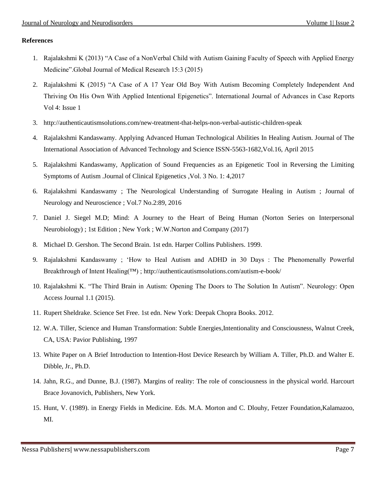### **References**

- 1. Rajalakshmi K (2013) "A Case of a NonVerbal Child with Autism Gaining Faculty of Speech with Applied Energy Medicine".Global Journal of Medical Research 15:3 (2015)
- 2. [Rajalakshmi K \(2015\) "A Case of A 17 Year Old Boy With Autism Becoming Completely Independent And](http://mcmed.us/dart/abstract/638/ijacr)  [Thriving On His Own With Applied Intentional Epigenetics". International Journal of Advances in Case Reports](http://mcmed.us/dart/abstract/638/ijacr)  [Vol 4: Issue 1](http://mcmed.us/dart/abstract/638/ijacr)
- 3. [http://authenticautismsolutions.com/new-treatment-that-helps-non-verbal-autistic-children-speak](http://authenticautismsolutions.com/new-treatment-that-helps-non-verbal-autistic-children-speak/)
- 4. Rajalakshmi Kandaswamy. Applying Advanced Human Technological Abilities In Healing Autism. Journal of The International Association of Advanced Technology and Science ISSN-5563-1682,Vol.16, April 2015
- 5. [Rajalakshmi Kandaswamy, Application of Sound Frequencies as an Epigenetic Tool in Reversing the Limiting](http://clinical-epigenetics.imedpub.com/application-of-sound-frequencies-as-anepigenetic-tool-in-reversing-the-limitingsymptoms-of-autism.php?aid=18271)  [Symptoms of Autism .Journal of Clinical Epigenetics ,Vol. 3 No. 1: 4,2017](http://clinical-epigenetics.imedpub.com/application-of-sound-frequencies-as-anepigenetic-tool-in-reversing-the-limitingsymptoms-of-autism.php?aid=18271)
- 6. Rajalakshmi Kandaswamy ; The Neurological Understanding of Surrogate Healing in Autism ; Journal of Neurology and Neuroscience ; Vol.7 No.2:89, 2016
- 7. [Daniel J. Siegel M.D; Mind: A Journey to the Heart of Being Human \(Norton Series on Interpersonal](https://www.amazon.com/Mind-Journey-Norton-Interpersonal-Neurobiology-ebook/dp/B01CKZM39I)  [Neurobiology\) ; 1st Edition ; New York ; W.W.Norton and Company \(2017\)](https://www.amazon.com/Mind-Journey-Norton-Interpersonal-Neurobiology-ebook/dp/B01CKZM39I)
- 8. [Michael D. Gershon. The Second Brain. 1st edn. Harper Collins Publishers. 1999.](http://www.amazon.in/Second-Brain-Groundbreaking-Understanding-Disorders/dp/0060930721)
- 9. Rajalakshmi Kandaswamy ; 'How to Heal Autism and ADHD in 30 Days : The Phenomenally Powerful Breakthrough of Intent Healing(™) ;<http://authenticautismsolutions.com/autism-e-book/>
- 10. [Rajalakshmi K. "The Third Brain in Autism: Opening The Doors to The Solution In Autism". Neurology: Open](https://www.omicsgroup.org/journals/autism-new-understanding-of-the-symptoms-through-discoveries-made-in-psychoneuroimmunology-2165-7890-1000e134.php?aid=59065)  [Access Journal 1.1 \(2015\).](https://www.omicsgroup.org/journals/autism-new-understanding-of-the-symptoms-through-discoveries-made-in-psychoneuroimmunology-2165-7890-1000e134.php?aid=59065)
- 11. Rupert Sheldrake. Science Set Free. 1st edn. New York: Deepak Chopra Books. 2012.
- 12. [W.A. Tiller, Science and Human Transformation: Subtle Energies,Intentionality and Consciousness, Walnut Creek,](http://www.amazon.in/Science-Human-Transformation-Intentionality-Consciousness/dp/0964263742)  [CA, USA: Pavior Publishing, 1997](http://www.amazon.in/Science-Human-Transformation-Intentionality-Consciousness/dp/0964263742)
- 13. White Paper on A Brief Introduction to Intention-Host Device Research by William A. Tiller, Ph.D. and Walter E. Dibble, Jr., Ph.D.
- 14. Jahn, R.G., and Dunne, B.J. (1987). Margins of reality: The role of consciousness in the physical world. Harcourt Brace Jovanovich, Publishers, New York.
- 15. Hunt, V. (1989). in Energy Fields in Medicine. Eds. M.A. Morton and C. Dlouhy, Fetzer Foundation,Kalamazoo, MI.